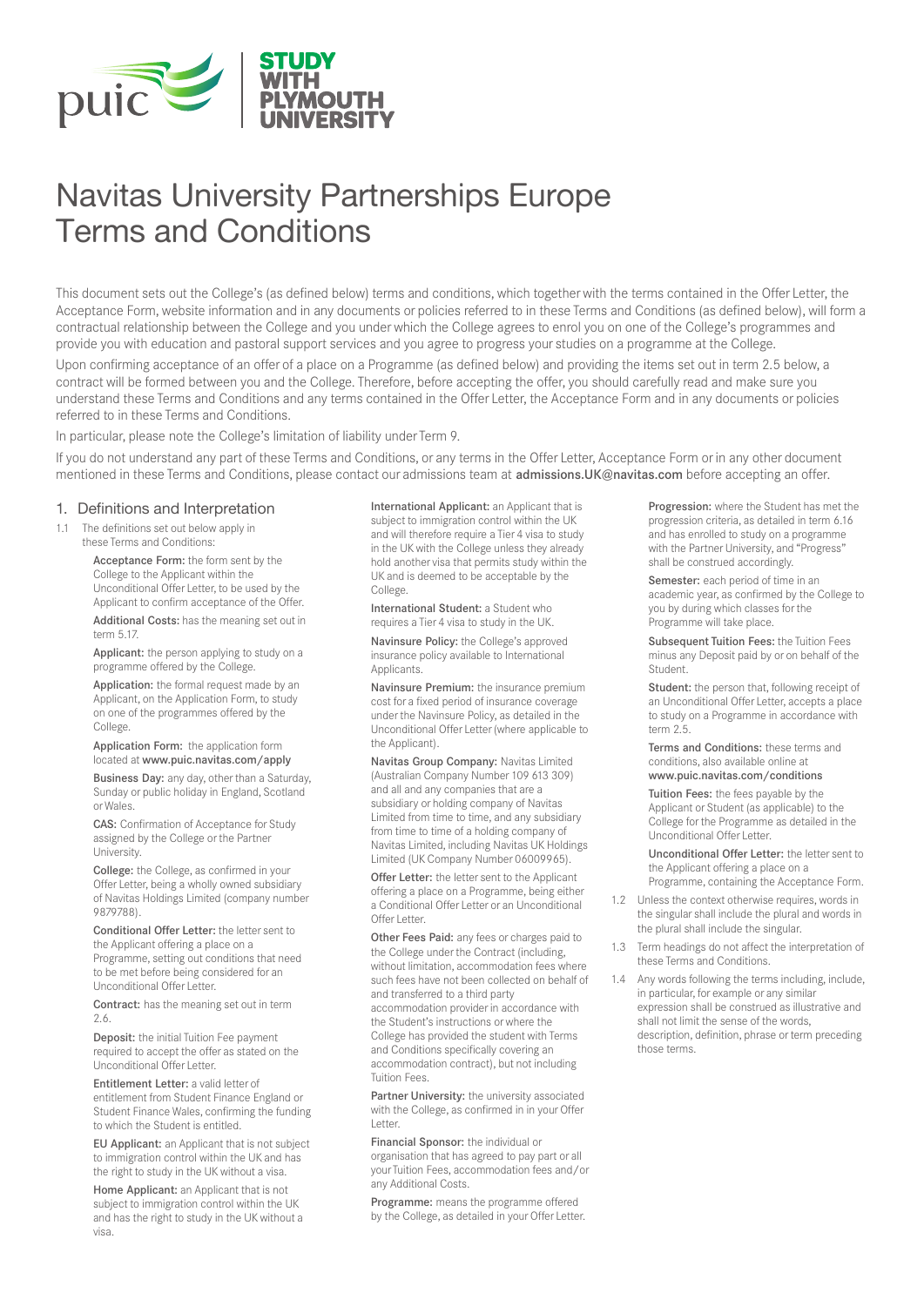

# Navitas University Partnerships Europe Terms and Conditions

This document sets out the College's (as defined below) terms and conditions, which together with the terms contained in the Offer Letter, the Acceptance Form, website information and in any documents or policies referred to in these Terms and Conditions (as defined below), will form a contractual relationship between the College and you under which the College agrees to enrol you on one of the College's programmes and provide you with education and pastoral support services and you agree to progress your studies on a programme at the College.

Upon confirming acceptance of an offer of a place on a Programme (as defined below) and providing the items set out in term 2.5 below, a contract will be formed between you and the College. Therefore, before accepting the offer, you should carefully read and make sure you understand these Terms and Conditions and any terms contained in the Offer Letter, the Acceptance Form and in any documents or policies referred to in these Terms and Conditions.

In particular, please note the College's limitation of liability under Term 9.

If you do not understand any part of these Terms and Conditions, or any terms in the Offer Letter, Acceptance Form or in any other document mentioned in these Terms and Conditions, please contact our admissions team at admissions.UK@navitas.com before accepting an offer.

#### 1. Definitions and Interpretation

11 The definitions set out below apply in these Terms and Conditions:

> Acceptance Form: the form sent by the College to the Applicant within the Unconditional Offer Letter, to be used by the Applicant to confirm acceptance of the Offer.

Additional Costs: has the meaning set out in term 5.17.

Applicant: the person applying to study on a programme offered by the College.

Application: the formal request made by an Applicant, on the Application Form, to study on one of the programmes offered by the College.

Application Form: the application form located at www.puic.navitas.com/apply

Business Day: any day, other than a Saturday, Sunday or public holiday in England, Scotland or Wales.

CAS: Confirmation of Acceptance for Study assigned by the College or the Partner University.

College: the College, as confirmed in your Offer Letter, being a wholly owned subsidiary of Navitas Holdings Limited (company number 9879788).

Conditional Offer Letter: the letter sent to the Applicant offering a place on a Programme, setting out conditions that need to be met before being considered for an Unconditional Offer Letter.

Contract: has the meaning set out in term 2.6.

Deposit: the initial Tuition Fee payment required to accept the offer as stated on the Unconditional Offer Letter.

Entitlement Letter: a valid letter of entitlement from Student Finance England or Student Finance Wales, confirming the funding to which the Student is entitled.

EU Applicant: an Applicant that is not subject to immigration control within the UK and has the right to study in the UK without a visa.

Home Applicant: an Applicant that is not subject to immigration control within the UK and has the right to study in the UK without a visa.

International Applicant: an Applicant that is subject to immigration control within the UK and will therefore require a Tier 4 visa to study in the UK with the College unless they already hold another visa that permits study within the UK and is deemed to be acceptable by the College.

International Student: a Student who requires a Tier 4 visa to study in the UK.

Navinsure Policy: the College's approved insurance policy available to International Applicants.

Navinsure Premium: the insurance premium cost for a fixed period of insurance coverage under the Navinsure Policy, as detailed in the Unconditional Offer Letter (where applicable to the Applicant).

Navitas Group Company: Navitas Limited (Australian Company Number 109 613 309) and all and any companies that are a subsidiary or holding company of Navitas Limited from time to time, and any subsidiary from time to time of a holding company of Navitas Limited, including Navitas UK Holdings Limited (UK Company Number 06009965).

Offer Letter: the letter sent to the Applicant offering a place on a Programme, being either a Conditional Offer Letter or an Unconditional Offer Letter

Other Fees Paid: any fees or charges paid to the College under the Contract (including, without limitation, accommodation fees where such fees have not been collected on behalf of and transferred to a third party accommodation provider in accordance with the Student's instructions or where the College has provided the student with Terms and Conditions specifically covering an accommodation contract), but not including Tuition Fees.

Partner University: the university associated with the College, as confirmed in in your Offer Letter.

Financial Sponsor: the individual or organisation that has agreed to pay part or all your Tuition Fees, accommodation fees and/or any Additional Costs.

Programme: means the programme offered by the College, as detailed in your Offer Letter.

Progression: where the Student has met the progression criteria, as detailed in term 6.16 and has enrolled to study on a programme with the Partner University, and "Progress" shall be construed accordingly.

Semester: each period of time in an academic year, as confirmed by the College to you by during which classes for the Programme will take place.

Subsequent Tuition Fees: the Tuition Fees minus any Deposit paid by or on behalf of the Student.

Student: the person that, following receipt of an Unconditional Offer Letter, accepts a place to study on a Programme in accordance with term 2.5.

Terms and Conditions: these terms and conditions, also available online at www.puic.navitas.com/conditions

Tuition Fees: the fees payable by the Applicant or Student (as applicable) to the College for the Programme as detailed in the Unconditional Offer Letter.

Unconditional Offer Letter: the letter sent to the Applicant offering a place on a Programme, containing the Acceptance Form.

- 1.2 Unless the context otherwise requires, words in the singular shall include the plural and words in the plural shall include the singular.
- 1.3 Term headings do not affect the interpretation of these Terms and Conditions.
- 1.4 Any words following the terms including, include, in particular, for example or any similar expression shall be construed as illustrative and shall not limit the sense of the words, description, definition, phrase or term preceding those terms.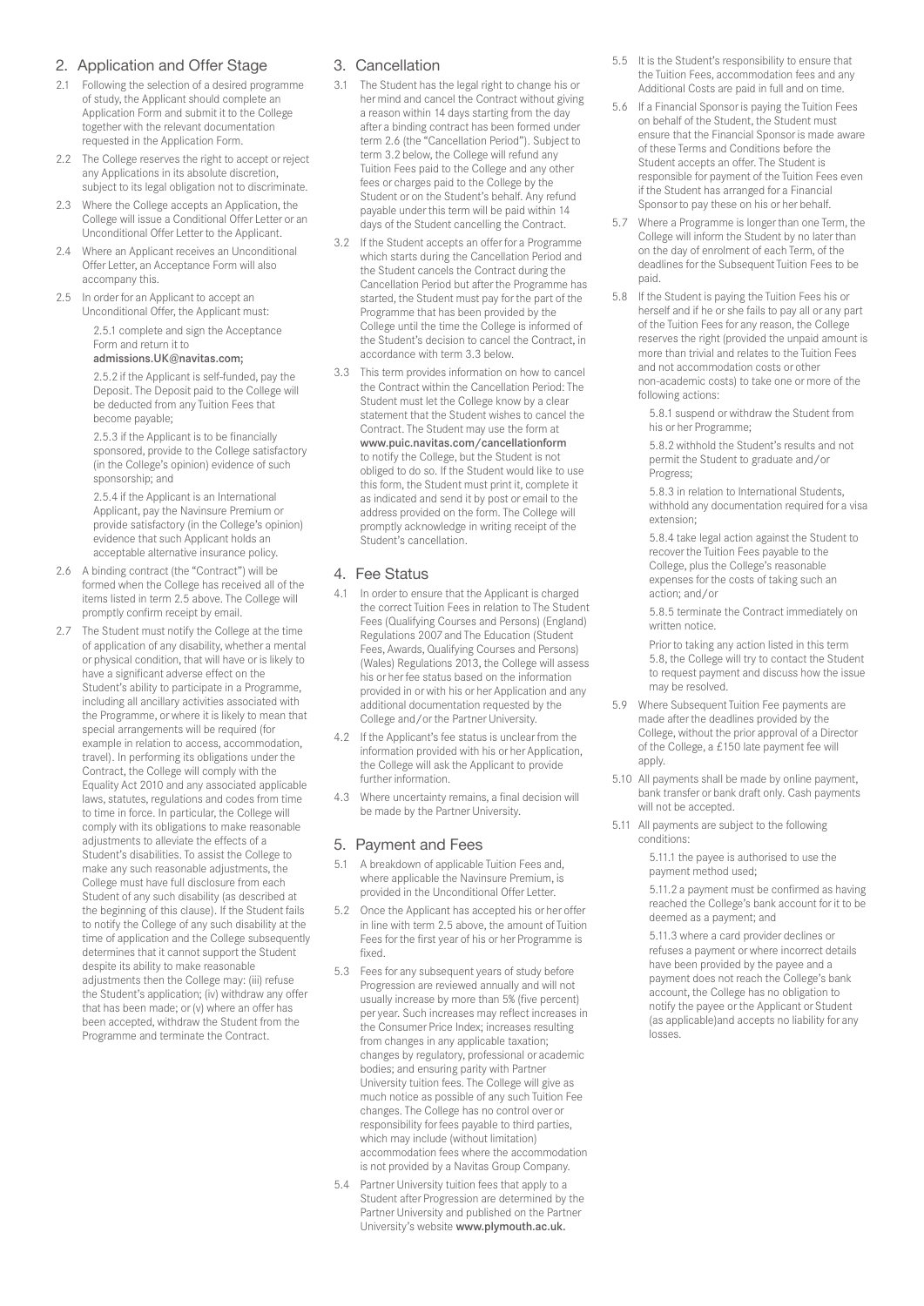### 2. Application and Offer Stage

- 2.1 Following the selection of a desired programme of study, the Applicant should complete an Application Form and submit it to the College together with the relevant documentation requested in the Application Form.
- 2.2 The College reserves the right to accept or reject any Applications in its absolute discretion, subject to its legal obligation not to discriminate.
- 2.3 Where the College accepts an Application, the College will issue a Conditional Offer Letter or an Unconditional Offer Letter to the Applicant.
- 2.4 Where an Applicant receives an Unconditional Offer Letter, an Acceptance Form will also accompany this.
- 2.5 In order for an Applicant to accept an Unconditional Offer, the Applicant must: 2.5.1 complete and sign the Acceptance

#### Form and return it to admissions.UK@navitas.com;

2.5.2 if the Applicant is self-funded, pay the Deposit. The Deposit paid to the College will be deducted from any Tuition Fees that become payable;

2.5.3 if the Applicant is to be financially sponsored, provide to the College satisfactory (in the College's opinion) evidence of such sponsorship; and

2.5.4 if the Applicant is an International Applicant, pay the Navinsure Premium or provide satisfactory (in the College's opinion) evidence that such Applicant holds an acceptable alternative insurance policy.

- 2.6 A binding contract (the "Contract") will be formed when the College has received all of the items listed in term 2.5 above. The College will promptly confirm receipt by email.
- 2.7 The Student must notify the College at the time of application of any disability, whether a mental or physical condition, that will have or is likely to have a significant adverse effect on the Student's ability to participate in a Programme, including all ancillary activities associated with the Programme, or where it is likely to mean that special arrangements will be required (for example in relation to access, accommodation, travel). In performing its obligations under the Contract, the College will comply with the Equality Act 2010 and any associated applicable laws, statutes, regulations and codes from time to time in force. In particular, the College will comply with its obligations to make reasonable adjustments to alleviate the effects of a Student's disabilities. To assist the College to make any such reasonable adjustments, the College must have full disclosure from each Student of any such disability (as described at the beginning of this clause). If the Student fails to notify the College of any such disability at the time of application and the College subsequently determines that it cannot support the Student despite its ability to make reasonable adjustments then the College may: (iii) refuse the Student's application; (iv) withdraw any offer that has been made; or (v) where an offer has been accepted, withdraw the Student from the Programme and terminate the Contract.

### 3. Cancellation

- 3.1 The Student has the legal right to change his or her mind and cancel the Contract without giving a reason within 14 days starting from the day after a binding contract has been formed under term 2.6 (the "Cancellation Period"). Subject to term 3.2 below, the College will refund any Tuition Fees paid to the College and any other fees or charges paid to the College by the Student or on the Student's behalf. Any refund payable under this term will be paid within 14 days of the Student cancelling the Contract.
- 3.2 If the Student accepts an offer for a Programme which starts during the Cancellation Period and the Student cancels the Contract during the Cancellation Period but after the Programme has started, the Student must pay for the part of the Programme that has been provided by the College until the time the College is informed of the Student's decision to cancel the Contract, in accordance with term 3.3 below.
- 3.3 This term provides information on how to cancel the Contract within the Cancellation Period: The Student must let the College know by a clear statement that the Student wishes to cancel the Contract. The Student may use the form at www.puic.navitas.com/cancellationform to notify the College, but the Student is not obliged to do so. If the Student would like to use this form, the Student must print it, complete it as indicated and send it by post or email to the address provided on the form. The College will promptly acknowledge in writing receipt of the Student's cancellation.

#### 4. Fee Status

- 4.1 In order to ensure that the Applicant is charged the correct Tuition Fees in relation to The Student Fees (Qualifying Courses and Persons) (England) Regulations 2007 and The Education (Student Fees, Awards, Qualifying Courses and Persons) (Wales) Regulations 2013, the College will assess his or her fee status based on the information provided in or with his or her Application and any additional documentation requested by the College and/or the Partner University.
- 4.2 If the Applicant's fee status is unclear from the information provided with his or her Application, the College will ask the Applicant to provide further information.
- 4.3 Where uncertainty remains, a final decision will be made by the Partner University.

#### 5. Payment and Fees

- 5.1 A breakdown of applicable Tuition Fees and, where applicable the Navinsure Premium, is provided in the Unconditional Offer Letter.
- 5.2 Once the Applicant has accepted his or her offer in line with term 2.5 above, the amount of Tuition Fees for the first year of his or her Programme is fixed.
- 5.3 Fees for any subsequent years of study before Progression are reviewed annually and will not usually increase by more than 5% (five percent) per year. Such increases may reflect increases in the Consumer Price Index; increases resulting from changes in any applicable taxation; changes by regulatory, professional or academic bodies; and ensuring parity with Partner University tuition fees. The College will give as much notice as possible of any such Tuition Fee changes. The College has no control over or responsibility for fees payable to third parties, which may include (without limitation) accommodation fees where the accommodation is not provided by a Navitas Group Company.
- 5.4 Partner University tuition fees that apply to a Student after Progression are determined by the Partner University and published on the Partner University's website www.plymouth.ac.uk.
- 5.5 It is the Student's responsibility to ensure that the Tuition Fees, accommodation fees and any Additional Costs are paid in full and on time.
- 5.6 If a Financial Sponsor is paying the Tuition Fees on behalf of the Student, the Student must ensure that the Financial Sponsor is made aware of these Terms and Conditions before the Student accepts an offer. The Student is responsible for payment of the Tuition Fees even if the Student has arranged for a Financial Sponsor to pay these on his or her behalf.
- 5.7 Where a Programme is longer than one Term, the College will inform the Student by no later than on the day of enrolment of each Term, of the deadlines for the Subsequent Tuition Fees to be paid.
- 5.8 If the Student is paying the Tuition Fees his or herself and if he or she fails to pay all or any part of the Tuition Fees for any reason, the College reserves the right (provided the unpaid amount is more than trivial and relates to the Tuition Fees and not accommodation costs or other non-academic costs) to take one or more of the following actions:

5.8.1 suspend or withdraw the Student from his or her Programme;

5.8.2 withhold the Student's results and not permit the Student to graduate and/or Progress;

5.8.3 in relation to International Students, withhold any documentation required for a visa extension;

5.8.4 take legal action against the Student to recover the Tuition Fees payable to the College, plus the College's reasonable expenses for the costs of taking such an action; and/or

5.8.5 terminate the Contract immediately on written notice.

Prior to taking any action listed in this term 5.8, the College will try to contact the Student to request payment and discuss how the issue may be resolved.

- 5.9 Where Subsequent Tuition Fee payments are made after the deadlines provided by the College, without the prior approval of a Director of the College, a £150 late payment fee will apply.
- 5.10 All payments shall be made by online payment, bank transfer or bank draft only. Cash payments will not be accepted.
- 5.11 All payments are subject to the following conditions:

5.11.1 the payee is authorised to use the payment method used;

5.11.2 a payment must be confirmed as having reached the College's bank account for it to be deemed as a payment; and

5.11.3 where a card provider declines or refuses a payment or where incorrect details have been provided by the payee and a payment does not reach the College's bank account, the College has no obligation to notify the payee or the Applicant or Student (as applicable)and accepts no liability for any losses.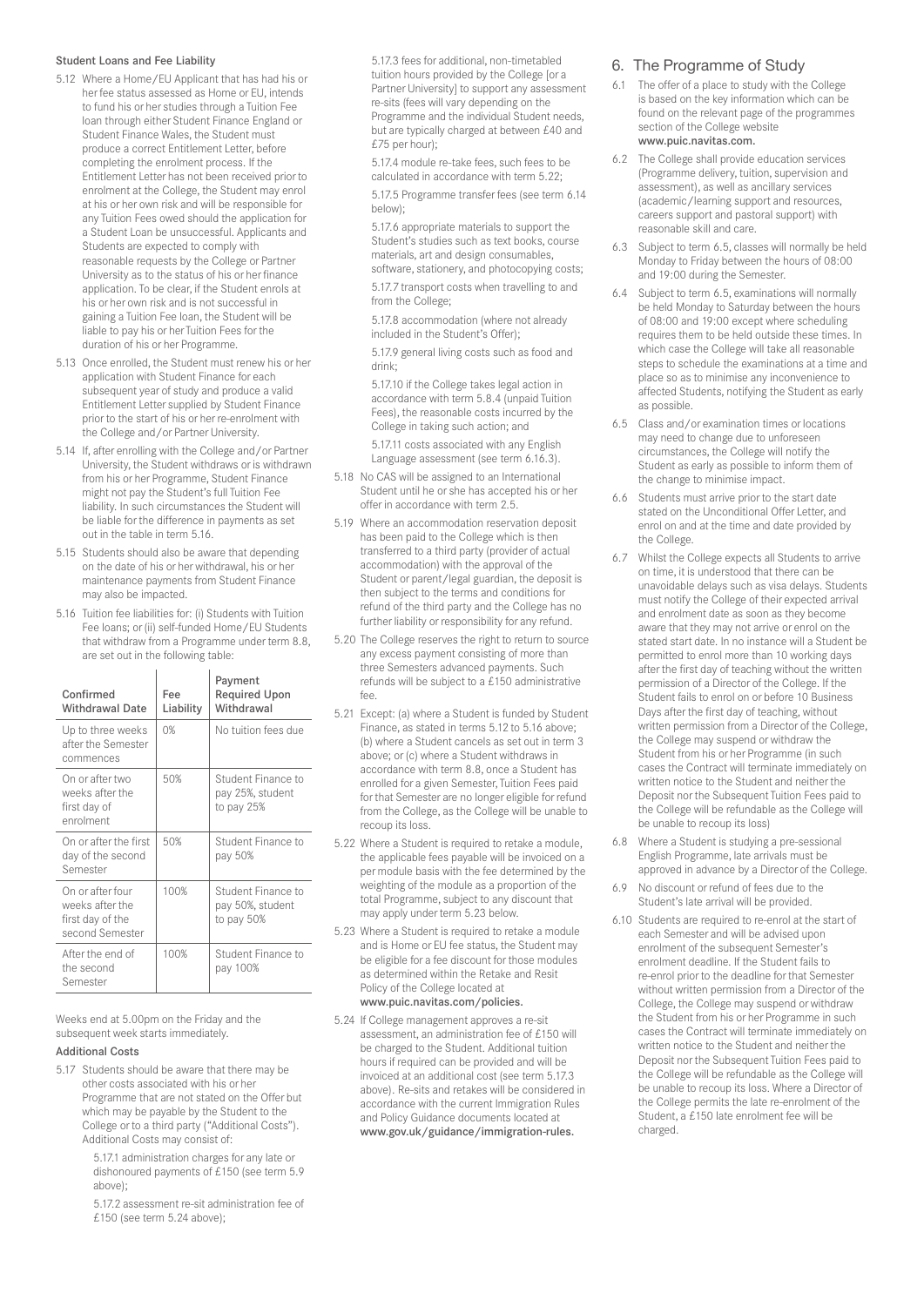#### Student Loans and Fee Liability

- 5.12 Where a Home/EU Applicant that has had his or her fee status assessed as Home or EU, intends to fund his or her studies through a Tuition Fee loan through either Student Finance England or Student Finance Wales, the Student must produce a correct Entitlement Letter, before completing the enrolment process. If the Entitlement Letter has not been received prior to enrolment at the College, the Student may enrol at his or her own risk and will be responsible for any Tuition Fees owed should the application for a Student Loan be unsuccessful. Applicants and Students are expected to comply with reasonable requests by the College or Partner University as to the status of his or her finance application. To be clear, if the Student enrols at his or her own risk and is not successful in gaining a Tuition Fee loan, the Student will be liable to pay his or her Tuition Fees for the duration of his or her Programme.
- 5.13 Once enrolled, the Student must renew his or her application with Student Finance for each subsequent year of study and produce a valid Entitlement Letter supplied by Student Finance prior to the start of his or her re-enrolment with the College and/or Partner University.
- 5.14 If, after enrolling with the College and/or Partner University, the Student withdraws or is withdrawn from his or her Programme, Student Finance might not pay the Student's full Tuition Fee liability. In such circumstances the Student will be liable for the difference in payments as set out in the table in term 5.16.
- 5.15 Students should also be aware that depending on the date of his or her withdrawal, his or her maintenance payments from Student Finance may also be impacted.
- 5.16 Tuition fee liabilities for: (i) Students with Tuition Fee loans; or (ii) self-funded Home/EU Students that withdraw from a Programme under term 8.8, are set out in the following table:

| Confirmed<br><b>Withdrawal Date</b>                                        | Fee<br>Liability | Payment<br><b>Required Upon</b><br>Withdrawal        |
|----------------------------------------------------------------------------|------------------|------------------------------------------------------|
| Up to three weeks<br>after the Semester<br>commences                       | 0%               | No tuition fees due                                  |
| On or after two<br>weeks after the<br>first day of<br>enrolment            | 50%              | Student Finance to<br>pay 25%, student<br>to pay 25% |
| On or after the first<br>day of the second<br>Semester                     | 50%              | Student Finance to<br>pay 50%                        |
| On or after four<br>weeks after the<br>first day of the<br>second Semester | 100%             | Student Finance to<br>pay 50%, student<br>to pay 50% |
| After the end of<br>the second<br>Semester                                 | 100%             | Student Finance to<br>pay 100%                       |

Weeks end at 5.00pm on the Friday and the subsequent week starts immediately.

#### Additional Costs

5.17 Students should be aware that there may be other costs associated with his or her Programme that are not stated on the Offer but which may be payable by the Student to the College or to a third party ("Additional Costs"). Additional Costs may consist of:

> 5.17.1 administration charges for any late or dishonoured payments of £150 (see term 5.9 above);

> 5.17.2 assessment re-sit administration fee of £150 (see term 5.24 above);

5.17.3 fees for additional, non-timetabled tuition hours provided by the College [or a Partner University] to support any assessment re-sits (fees will vary depending on the Programme and the individual Student needs, but are typically charged at between £40 and £75 per hour);

5.17.4 module re-take fees, such fees to be calculated in accordance with term 5.22;

5.17.5 Programme transfer fees (see term 6.14 below);

5.17.6 appropriate materials to support the Student's studies such as text books, course materials, art and design consumables, software, stationery, and photocopying costs;

5.17.7 transport costs when travelling to and from the College;

5.17.8 accommodation (where not already included in the Student's Offer);

5.17.9 general living costs such as food and drink;

5.17.10 if the College takes legal action in accordance with term 5.8.4 (unpaid Tuition Fees), the reasonable costs incurred by the College in taking such action; and

5.17.11 costs associated with any English Language assessment (see term 6.16.3).

- 5.18 No CAS will be assigned to an International Student until he or she has accepted his or her offer in accordance with term 2.5.
- 5.19 Where an accommodation reservation deposit has been paid to the College which is then transferred to a third party (provider of actual accommodation) with the approval of the Student or parent/legal guardian, the deposit is then subject to the terms and conditions for refund of the third party and the College has no further liability or responsibility for any refund.
- 5.20 The College reserves the right to return to source any excess payment consisting of more than three Semesters advanced payments. Such refunds will be subject to a £150 administrative  $f\circ\circ$
- 5.21 Except: (a) where a Student is funded by Student Finance, as stated in terms 5.12 to 5.16 above; (b) where a Student cancels as set out in term 3 above; or (c) where a Student withdraws in accordance with term 8.8, once a Student has enrolled for a given Semester, Tuition Fees paid for that Semester are no longer eligible for refund from the College, as the College will be unable to recoup its loss.
- 5.22 Where a Student is required to retake a module, the applicable fees payable will be invoiced on a per module basis with the fee determined by the weighting of the module as a proportion of the total Programme, subject to any discount that may apply under term 5.23 below.
- 5.23 Where a Student is required to retake a module and is Home or EU fee status, the Student may be eligible for a fee discount for those modules as determined within the Retake and Resit Policy of the College located at www.puic.navitas.com/policies.
- 5.24 If College management approves a re-sit assessment, an administration fee of £150 will be charged to the Student. Additional tuition hours if required can be provided and will be invoiced at an additional cost (see term 5.17.3 above). Re-sits and retakes will be considered in accordance with the current Immigration Rules and Policy Guidance documents located at www.gov.uk/guidance/immigration-rules.

#### 6. The Programme of Study

- 6.1 The offer of a place to study with the College is based on the key information which can be found on the relevant page of the programmes section of the College website www.puic.navitas.com.
- 6.2 The College shall provide education services (Programme delivery, tuition, supervision and assessment), as well as ancillary services (academic/learning support and resources, careers support and pastoral support) with reasonable skill and care.
- 6.3 Subject to term 6.5, classes will normally be held Monday to Friday between the hours of 08:00 and 19:00 during the Semester.
- 6.4 Subject to term 6.5, examinations will normally be held Monday to Saturday between the hours of 08:00 and 19:00 except where scheduling requires them to be held outside these times. In which case the College will take all reasonable steps to schedule the examinations at a time and place so as to minimise any inconvenience to affected Students, notifying the Student as early as possible.
- 6.5 Class and/or examination times or locations may need to change due to unforeseen circumstances, the College will notify the Student as early as possible to inform them of the change to minimise impact.
- 6.6 Students must arrive prior to the start date stated on the Unconditional Offer Letter, and enrol on and at the time and date provided by the College.
- 6.7 Whilst the College expects all Students to arrive on time, it is understood that there can be unavoidable delays such as visa delays. Students must notify the College of their expected arrival and enrolment date as soon as they become aware that they may not arrive or enrol on the stated start date. In no instance will a Student be permitted to enrol more than 10 working days after the first day of teaching without the written permission of a Director of the College. If the Student fails to enrol on or before 10 Business Days after the first day of teaching, without written permission from a Director of the College, the College may suspend or withdraw the Student from his or her Programme (in such cases the Contract will terminate immediately on written notice to the Student and neither the Deposit nor the Subsequent Tuition Fees paid to the College will be refundable as the College will be unable to recoup its loss)
- 6.8 Where a Student is studying a pre-sessional English Programme, late arrivals must be approved in advance by a Director of the College.
- No discount or refund of fees due to the Student's late arrival will be provided.
- 6.10 Students are required to re-enrol at the start of each Semester and will be advised upon enrolment of the subsequent Semester's enrolment deadline. If the Student fails to re-enrol prior to the deadline for that Semester without written permission from a Director of the College, the College may suspend or withdraw the Student from his or her Programme in such cases the Contract will terminate immediately on written notice to the Student and neither the Deposit nor the Subsequent Tuition Fees paid to the College will be refundable as the College will be unable to recoup its loss. Where a Director of the College permits the late re-enrolment of the Student, a £150 late enrolment fee will be charged.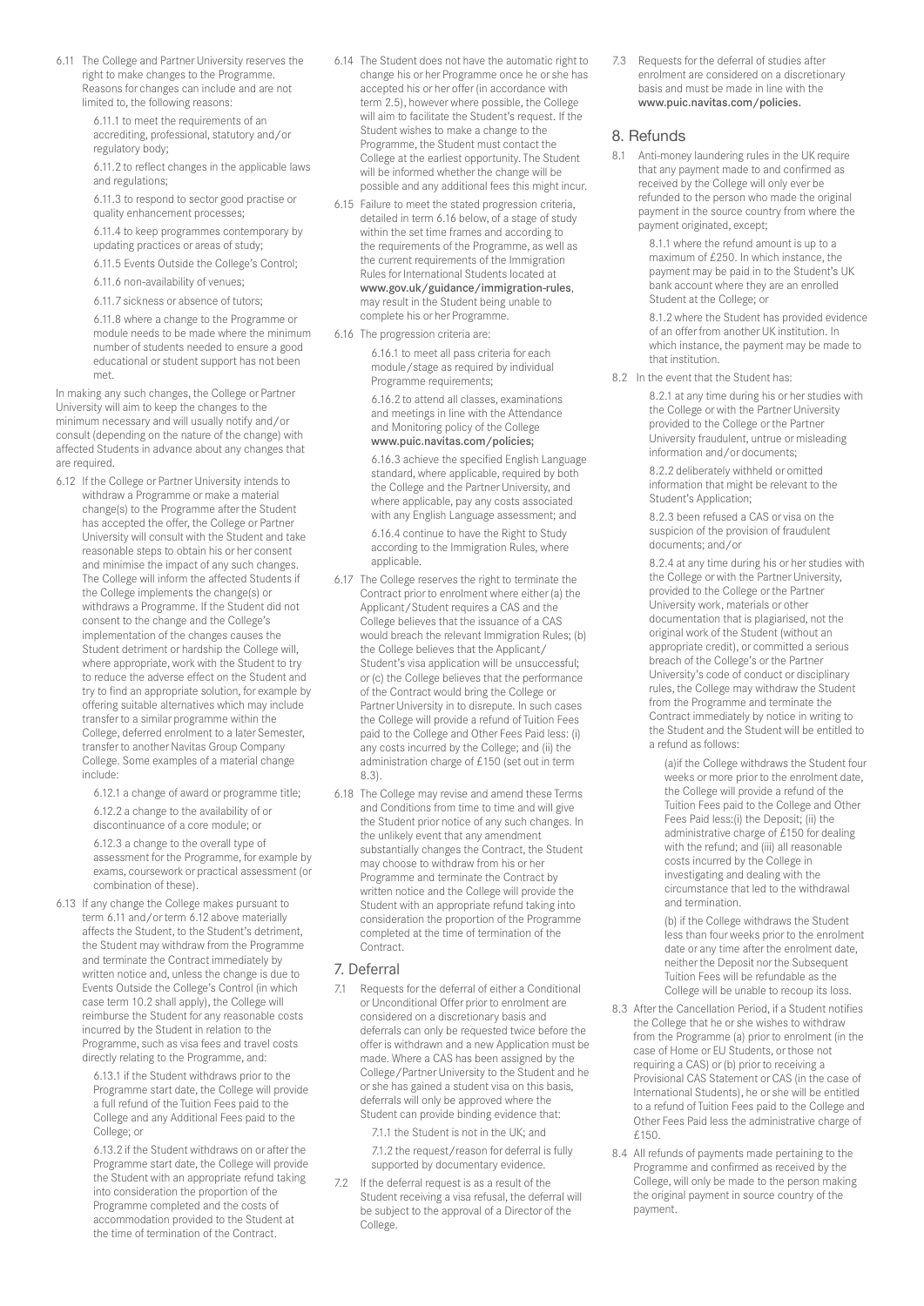6.11 The College and Partner University reserves the right to make changes to the Programme. Reasons for changes can include and are not limited to, the following reasons:

> 6.11.1 to meet the requirements of an accrediting, professional, statutory and/or regulatory body;

6.11.2 to reflect changes in the applicable laws and regulations;

6.11.3 to respond to sector good practise or quality enhancement processes;

6.11.4 to keep programmes contemporary by updating practices or areas of study;

6.11.5 Events Outside the College's Control;

6.11.6 non-availability of venues;

6.11.7 sickness or absence of tutors;

6.11.8 where a change to the Programme or module needs to be made where the minimum number of students needed to ensure a good educational or student support has not been met.

In making any such changes, the College or Partner University will aim to keep the changes to the minimum necessary and will usually notify and/or consult (depending on the nature of the change) with affected Students in advance about any changes that are required.

6.12 If the College or Partner University intends to withdraw a Programme or make a material change(s) to the Programme after the Student has accepted the offer, the College or Partner University will consult with the Student and take reasonable steps to obtain his or her consent and minimise the impact of any such changes. The College will inform the affected Students if the College implements the change(s) or withdraws a Programme. If the Student did not consent to the change and the College's implementation of the changes causes the Student detriment or hardship the College will, where appropriate, work with the Student to try to reduce the adverse effect on the Student and try to find an appropriate solution, for example by offering suitable alternatives which may include transfer to a similar programme within the College, deferred enrolment to a later Semester, transfer to another Navitas Group Company College. Some examples of a material change include:

6.12.1 a change of award or programme title;

6.12.2 a change to the availability of or discontinuance of a core module; or

6.12.3 a change to the overall type of assessment for the Programme, for example by exams, coursework or practical assessment (or combination of these).

6.13 If any change the College makes pursuant to term 6.11 and/or term 6.12 above materially affects the Student, to the Student's detriment, the Student may withdraw from the Programme and terminate the Contract immediately by written notice and, unless the change is due to Events Outside the College's Control (in which case term 10.2 shall apply), the College will reimburse the Student for any reasonable costs incurred by the Student in relation to the Programme, such as visa fees and travel costs directly relating to the Programme, and:

> 6.13.1 if the Student withdraws prior to the Programme start date, the College will provide a full refund of the Tuition Fees paid to the College and any Additional Fees paid to the College; or

> 6.13.2 if the Student withdraws on or after the Programme start date, the College will provide the Student with an appropriate refund taking into consideration the proportion of the Programme completed and the costs of accommodation provided to the Student at the time of termination of the Contract.

- 6.14 The Student does not have the automatic right to change his or her Programme once he or she has accepted his or her offer (in accordance with term 2.5), however where possible, the College will aim to facilitate the Student's request. If the Student wishes to make a change to the Programme, the Student must contact the College at the earliest opportunity. The Student will be informed whether the change will be possible and any additional fees this might incur.
- 6.15 Failure to meet the stated progression criteria, detailed in term 6.16 below, of a stage of study within the set time frames and according to the requirements of the Programme, as well as the current requirements of the Immigration Rules for International Students located at www.gov.uk/guidance/immigration-rules, may result in the Student being unable to complete his or her Programme.
- 6.16 The progression criteria are:

6.16.1 to meet all pass criteria for each module/stage as required by individual Programme requirements;

6.16.2 to attend all classes, examinations and meetings in line with the Attendance and Monitoring policy of the College www.puic.navitas.com/policies;

6.16.3 achieve the specified English Language standard, where applicable, required by both the College and the Partner University, and where applicable, pay any costs associated with any English Language assessment; and 6.16.4 continue to have the Right to Study according to the Immigration Rules, where applicable.

- 6.17 The College reserves the right to terminate the Contract prior to enrolment where either (a) the Applicant/Student requires a CAS and the College believes that the issuance of a CAS would breach the relevant Immigration Rules; (b) the College believes that the Applicant/ Student's visa application will be unsuccessful; or (c) the College believes that the performance of the Contract would bring the College or Partner University in to disrepute. In such cases the College will provide a refund of Tuition Fees paid to the College and Other Fees Paid less: (i) any costs incurred by the College; and (ii) the administration charge of £150 (set out in term 8.3).
- 6.18 The College may revise and amend these Terms and Conditions from time to time and will give the Student prior notice of any such changes. In the unlikely event that any amendment substantially changes the Contract, the Student may choose to withdraw from his or her Programme and terminate the Contract by written notice and the College will provide the Student with an appropriate refund taking into consideration the proportion of the Programme completed at the time of termination of the Contract.

#### 7. Deferral

7.1 Requests for the deferral of either a Conditional or Unconditional Offer prior to enrolment are considered on a discretionary basis and deferrals can only be requested twice before the offer is withdrawn and a new Application must be made. Where a CAS has been assigned by the College/Partner University to the Student and he or she has gained a student visa on this basis, deferrals will only be approved where the Student can provide binding evidence that:

7.1.1 the Student is not in the UK; and 7.1.2 the request/reason for deferral is fully

supported by documentary evidence.

7.2 If the deferral request is as a result of the Student receiving a visa refusal, the deferral will be subject to the approval of a Director of the College.

7.3 Requests for the deferral of studies after enrolment are considered on a discretionary basis and must be made in line with the www.puic.navitas.com/policies.

#### 8. Refunds

8.1 Anti-money laundering rules in the UK require that any payment made to and confirmed as received by the College will only ever be refunded to the person who made the original payment in the source country from where the payment originated, except;

> 8.1.1 where the refund amount is up to a maximum of £250. In which instance, the payment may be paid in to the Student's UK bank account where they are an enrolled Student at the College; or

8.1.2 where the Student has provided evidence of an offer from another UK institution. In which instance, the payment may be made to that institution.

8.2 In the event that the Student has:

8.2.1 at any time during his or her studies with the College or with the Partner University provided to the College or the Partner University fraudulent, untrue or misleading information and/or documents;

8.2.2 deliberately withheld or omitted information that might be relevant to the Student's Application;

8.2.3 been refused a CAS or visa on the suspicion of the provision of fraudulent documents; and/or

8.2.4 at any time during his or her studies with the College or with the Partner University, provided to the College or the Partner University work, materials or other documentation that is plagiarised, not the original work of the Student (without an appropriate credit), or committed a serious breach of the College's or the Partner University's code of conduct or disciplinary rules, the College may withdraw the Student from the Programme and terminate the Contract immediately by notice in writing to the Student and the Student will be entitled to a refund as follows:

(a)if the College withdraws the Student four weeks or more prior to the enrolment date, the College will provide a refund of the Tuition Fees paid to the College and Other Fees Paid less:(i) the Deposit; (ii) the administrative charge of £150 for dealing with the refund; and (iii) all reasonable costs incurred by the College in investigating and dealing with the circumstance that led to the withdrawal and termination.

(b) if the College withdraws the Student less than four weeks prior to the enrolment date or any time after the enrolment date, neither the Deposit nor the Subsequent Tuition Fees will be refundable as the College will be unable to recoup its loss.

- 8.3 After the Cancellation Period, if a Student notifies the College that he or she wishes to withdraw from the Programme (a) prior to enrolment (in the case of Home or EU Students, or those not requiring a CAS) or (b) prior to receiving a Provisional CAS Statement or CAS (in the case of International Students), he or she will be entitled to a refund of Tuition Fees paid to the College and Other Fees Paid less the administrative charge of £150.
- 8.4 All refunds of payments made pertaining to the Programme and confirmed as received by the College, will only be made to the person making the original payment in source country of the payment.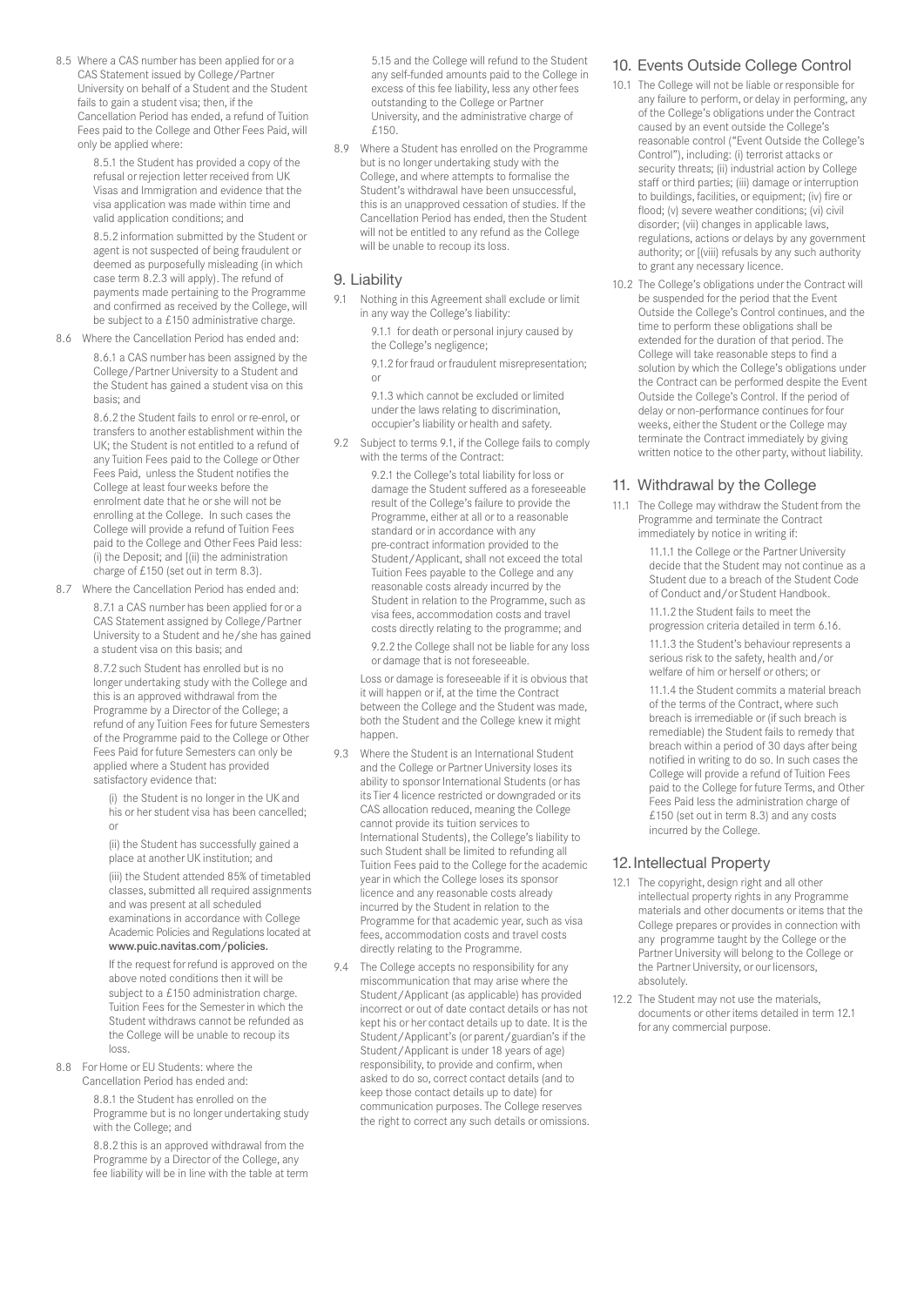8.5 Where a CAS number has been applied for or a CAS Statement issued by College/Partner University on behalf of a Student and the Student fails to gain a student visa; then, if the Cancellation Period has ended, a refund of Tuition Fees paid to the College and Other Fees Paid, will only be applied where:

> 8.5.1 the Student has provided a copy of the refusal or rejection letter received from UK Visas and Immigration and evidence that the visa application was made within time and valid application conditions; and

8.5.2 information submitted by the Student or agent is not suspected of being fraudulent or deemed as purposefully misleading (in which case term 8.2.3 will apply). The refund of payments made pertaining to the Programme and confirmed as received by the College, will be subject to a £150 administrative charge.

8.6 Where the Cancellation Period has ended and:

8.6.1 a CAS number has been assigned by the College/Partner University to a Student and the Student has gained a student visa on this basis; and

8.6.2 the Student fails to enrol or re-enrol, or transfers to another establishment within the UK; the Student is not entitled to a refund of any Tuition Fees paid to the College or Other Fees Paid, unless the Student notifies the College at least four weeks before the enrolment date that he or she will not be enrolling at the College. In such cases the College will provide a refund of Tuition Fees paid to the College and Other Fees Paid less: (i) the Deposit; and [(ii) the administration charge of £150 (set out in term 8.3).

8.7 Where the Cancellation Period has ended and: 8.7.1 a CAS number has been applied for or a CAS Statement assigned by College/Partner University to a Student and he/she has gained a student visa on this basis; and

> 8.7.2 such Student has enrolled but is no longer undertaking study with the College and this is an approved withdrawal from the Programme by a Director of the College; a refund of any Tuition Fees for future Semesters of the Programme paid to the College or Other Fees Paid for future Semesters can only be applied where a Student has provided satisfactory evidence that:

(i) the Student is no longer in the UK and his or her student visa has been cancelled; or

(ii) the Student has successfully gained a place at another UK institution; and (iii) the Student attended 85% of timetabled classes, submitted all required assignments and was present at all scheduled examinations in accordance with College Academic Policies and Regulations located at www.puic.navitas.com/policies.

If the request for refund is approved on the above noted conditions then it will be subject to a £150 administration charge. Tuition Fees for the Semester in which the Student withdraws cannot be refunded as the College will be unable to recoup its loss.

8.8 For Home or EU Students: where the Cancellation Period has ended and:

> 8.8.1 the Student has enrolled on the Programme but is no longer undertaking study with the College; and

> 8.8.2 this is an approved withdrawal from the Programme by a Director of the College, any fee liability will be in line with the table at term

5.15 and the College will refund to the Student any self-funded amounts paid to the College in excess of this fee liability, less any other fees outstanding to the College or Partner University, and the administrative charge of £150.

8.9 Where a Student has enrolled on the Programme but is no longer undertaking study with the College, and where attempts to formalise the Student's withdrawal have been unsuccessful, this is an unapproved cessation of studies. If the Cancellation Period has ended, then the Student will not be entitled to any refund as the College will be unable to recoup its loss.

#### 9. Liability

9.1 Nothing in this Agreement shall exclude or limit in any way the College's liability:

> 9.1.1 for death or personal injury caused by the College's negligence;

9.1.2 for fraud or fraudulent misrepresentation; or

9.1.3 which cannot be excluded or limited under the laws relating to discrimination, occupier's liability or health and safety.

9.2 Subject to terms 9.1, if the College fails to comply with the terms of the Contract:

> 9.2.1 the College's total liability for loss or damage the Student suffered as a foreseeable result of the College's failure to provide the Programme, either at all or to a reasonable standard or in accordance with any pre-contract information provided to the Student/Applicant, shall not exceed the total Tuition Fees payable to the College and any reasonable costs already incurred by the Student in relation to the Programme, such as visa fees, accommodation costs and travel costs directly relating to the programme; and

> 9.2.2 the College shall not be liable for any loss or damage that is not foreseeable.

 Loss or damage is foreseeable if it is obvious that it will happen or if, at the time the Contract between the College and the Student was made, both the Student and the College knew it might happen.

- 9.3 Where the Student is an International Student and the College or Partner University loses its ability to sponsor International Students (or has its Tier 4 licence restricted or downgraded or its CAS allocation reduced, meaning the College cannot provide its tuition services to International Students), the College's liability to such Student shall be limited to refunding all Tuition Fees paid to the College for the academic year in which the College loses its sponsor licence and any reasonable costs already incurred by the Student in relation to the Programme for that academic year, such as visa fees, accommodation costs and travel costs directly relating to the Programme.
- 9.4 The College accepts no responsibility for any miscommunication that may arise where the Student/Applicant (as applicable) has provided incorrect or out of date contact details or has not kept his or her contact details up to date. It is the Student/Applicant's (or parent/guardian's if the Student/Applicant is under 18 years of age) responsibility, to provide and confirm, when asked to do so, correct contact details (and to keep those contact details up to date) for communication purposes. The College reserves the right to correct any such details or omissions.

#### 10. Events Outside College Control

- 10.1 The College will not be liable or responsible for any failure to perform, or delay in performing, any of the College's obligations under the Contract caused by an event outside the College's reasonable control ("Event Outside the College's Control"), including: (i) terrorist attacks or security threats; (ii) industrial action by College staff or third parties; (iii) damage or interruption to buildings, facilities, or equipment; (iv) fire or flood; (v) severe weather conditions; (vi) civil disorder; (vii) changes in applicable laws, regulations, actions or delays by any government authority; or [(viii) refusals by any such authority to grant any necessary licence.
- 10.2 The College's obligations under the Contract will be suspended for the period that the Event Outside the College's Control continues, and the time to perform these obligations shall be extended for the duration of that period. The College will take reasonable steps to find a solution by which the College's obligations under the Contract can be performed despite the Event Outside the College's Control. If the period of delay or non-performance continues for four weeks, either the Student or the College may terminate the Contract immediately by giving written notice to the other party, without liability.

#### 11. Withdrawal by the College

11.1 The College may withdraw the Student from the Programme and terminate the Contract immediately by notice in writing if:

11.1.1 the College or the Partner University decide that the Student may not continue as a Student due to a breach of the Student Code of Conduct and/or Student Handbook.

11.1.2 the Student fails to meet the progression criteria detailed in term 6.16.

11.1.3 the Student's behaviour represents a serious risk to the safety, health and/or welfare of him or herself or others; or

11.1.4 the Student commits a material breach of the terms of the Contract, where such breach is irremediable or (if such breach is remediable) the Student fails to remedy that breach within a period of 30 days after being notified in writing to do so. In such cases the College will provide a refund of Tuition Fees paid to the College for future Terms, and Other Fees Paid less the administration charge of £150 (set out in term 8.3) and any costs incurred by the College.

#### 12.Intellectual Property

- 12.1 The copyright, design right and all other intellectual property rights in any Programme materials and other documents or items that the College prepares or provides in connection with any programme taught by the College or the Partner University will belong to the College or the Partner University, or our licensors, absolutely.
- 12.2 The Student may not use the materials, documents or other items detailed in term 12.1 for any commercial purpose.